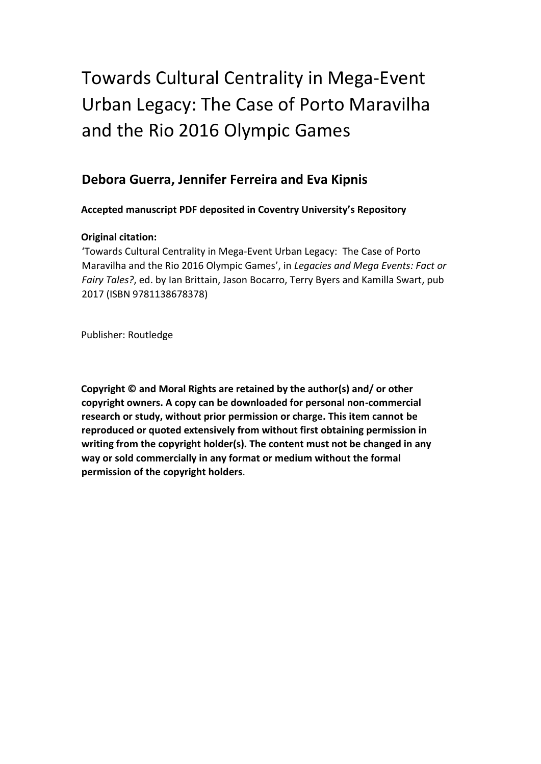# Towards Cultural Centrality in Mega-Event Urban Legacy: The Case of Porto Maravilha and the Rio 2016 Olympic Games

# **Debora Guerra, Jennifer Ferreira and Eva Kipnis**

 **Accepted manuscript PDF deposited in Coventry University's Repository**

## **Original citation:**

 'Towards Cultural Centrality in Mega-Event Urban Legacy: The Case of Porto Maravilha and the Rio 2016 Olympic Games', in *Legacies and Mega Events: Fact or Fairy Tales?*, ed. by Ian Brittain, Jason Bocarro, Terry Byers and Kamilla Swart, pub 2017 (ISBN 9781138678378)

Publisher: Routledge

 **Copyright © and Moral Rights are retained by the author(s) and/ or other copyright owners. A copy can be downloaded for personal non-commercial research or study, without prior permission or charge. This item cannot be reproduced or quoted extensively from without first obtaining permission in writing from the copyright holder(s). The content must not be changed in any way or sold commercially in any format or medium without the formal permission of the copyright holders**.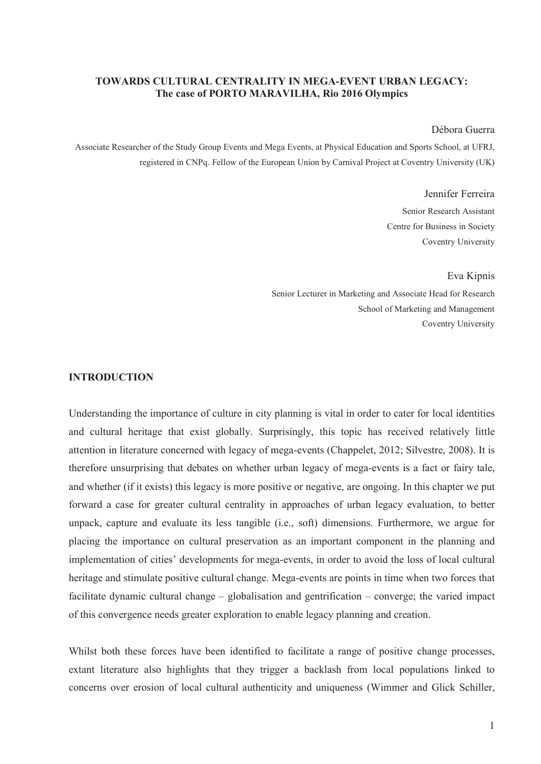#### **TOWARDS CULTURAL CENTRALITY IN MEGA-EVENT URBAN LEGACY: The case of PORTO MARAVILHA, Rio 2016 Olympics**

#### Débora Guerra

 Associate Researcher of the Study Group Events and Mega Events, at Physical Education and Sports School, at UFRJ, registered in CNPq. Fellow of the European Union by Carnival Project at Coventry University (UK)

#### Jennifer Ferreira

 Senior Research Assistant Centre for Business in Society Coventry University

Eva Kipnis

 Senior Lecturer in Marketing and Associate Head for Research School of Marketing and Management Coventry University

#### **INTRODUCTION**

 Understanding the importance of culture in city planning is vital in order to cater for local identities and cultural heritage that exist globally. Surprisingly, this topic has received relatively little attention in literature concerned with legacy of mega-events (Chappelet, 2012; Silvestre, 2008). It is therefore unsurprising that debates on whether urban legacy of mega-events is a fact or fairy tale, and whether (if it exists) this legacy is more positive or negative, are ongoing. In this chapter we put forward a case for greater cultural centrality in approaches of urban legacy evaluation, to better unpack, capture and evaluate its less tangible (i.e., soft) dimensions. Furthermore, we argue for placing the importance on cultural preservation as an important component in the planning and implementation of cities' developments for mega-events, in order to avoid the loss of local cultural heritage and stimulate positive cultural change. Mega-events are points in time when two forces that facilitate dynamic cultural change – globalisation and gentrification – converge; the varied impact of this convergence needs greater exploration to enable legacy planning and creation.

 Whilst both these forces have been identified to facilitate a range of positive change processes, extant literature also highlights that they trigger a backlash from local populations linked to concerns over erosion of local cultural authenticity and uniqueness (Wimmer and Glick Schiller,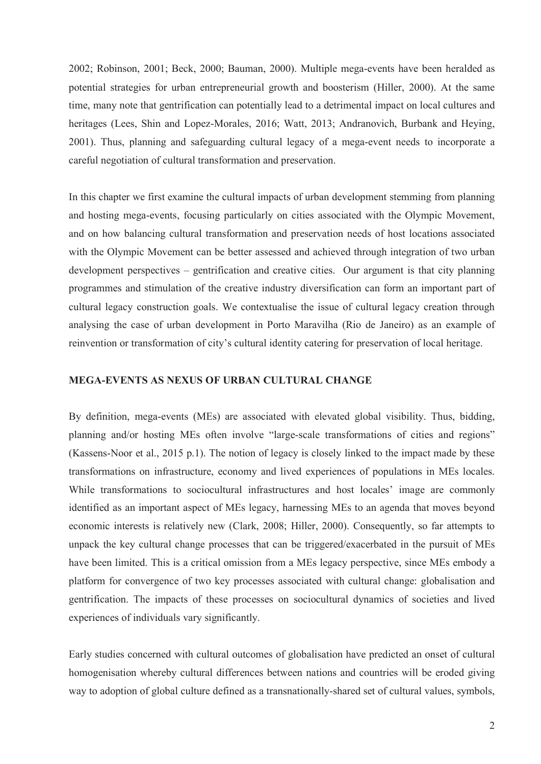2002; Robinson, 2001; Beck, 2000; Bauman, 2000). Multiple mega-events have been heralded as potential strategies for urban entrepreneurial growth and boosterism (Hiller, 2000). At the same time, many note that gentrification can potentially lead to a detrimental impact on local cultures and heritages (Lees, Shin and Lopez-Morales, 2016; Watt, 2013; Andranovich, Burbank and Heying, 2001). Thus, planning and safeguarding cultural legacy of a mega-event needs to incorporate a careful negotiation of cultural transformation and preservation.

 In this chapter we first examine the cultural impacts of urban development stemming from planning and hosting mega-events, focusing particularly on cities associated with the Olympic Movement, and on how balancing cultural transformation and preservation needs of host locations associated with the Olympic Movement can be better assessed and achieved through integration of two urban development perspectives – gentrification and creative cities. Our argument is that city planning programmes and stimulation of the creative industry diversification can form an important part of cultural legacy construction goals. We contextualise the issue of cultural legacy creation through analysing the case of urban development in Porto Maravilha (Rio de Janeiro) as an example of reinvention or transformation of city's cultural identity catering for preservation of local heritage.

#### **MEGA-EVENTS AS NEXUS OF URBAN CULTURAL CHANGE**

 By definition, mega-events (MEs) are associated with elevated global visibility. Thus, bidding, planning and/or hosting MEs often involve "large-scale transformations of cities and regions" (Kassens-Noor et al., 2015 p.1). The notion of legacy is closely linked to the impact made by these transformations on infrastructure, economy and lived experiences of populations in MEs locales. While transformations to sociocultural infrastructures and host locales' image are commonly identified as an important aspect of MEs legacy, harnessing MEs to an agenda that moves beyond economic interests is relatively new (Clark, 2008; Hiller, 2000). Consequently, so far attempts to unpack the key cultural change processes that can be triggered/exacerbated in the pursuit of MEs have been limited. This is a critical omission from a MEs legacy perspective, since MEs embody a platform for convergence of two key processes associated with cultural change: globalisation and gentrification. The impacts of these processes on sociocultural dynamics of societies and lived experiences of individuals vary significantly.

 Early studies concerned with cultural outcomes of globalisation have predicted an onset of cultural homogenisation whereby cultural differences between nations and countries will be eroded giving way to adoption of global culture defined as a transnationally-shared set of cultural values, symbols,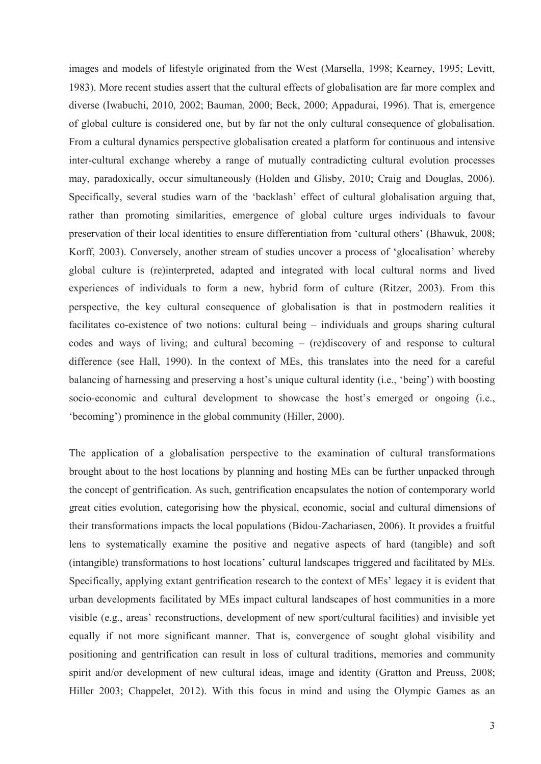images and models of lifestyle originated from the West (Marsella, 1998; Kearney, 1995; Levitt, 1983). More recent studies assert that the cultural effects of globalisation are far more complex and diverse (Iwabuchi, 2010, 2002; Bauman, 2000; Beck, 2000; Appadurai, 1996). That is, emergence of global culture is considered one, but by far not the only cultural consequence of globalisation. From a cultural dynamics perspective globalisation created a platform for continuous and intensive inter-cultural exchange whereby a range of mutually contradicting cultural evolution processes may, paradoxically, occur simultaneously (Holden and Glisby, 2010; Craig and Douglas, 2006). Specifically, several studies warn of the 'backlash' effect of cultural globalisation arguing that, rather than promoting similarities, emergence of global culture urges individuals to favour preservation of their local identities to ensure differentiation from 'cultural others' (Bhawuk, 2008; Korff, 2003). Conversely, another stream of studies uncover a process of 'glocalisation' whereby global culture is (re)interpreted, adapted and integrated with local cultural norms and lived experiences of individuals to form a new, hybrid form of culture (Ritzer, 2003). From this perspective, the key cultural consequence of globalisation is that in postmodern realities it facilitates co-existence of two notions: cultural being – individuals and groups sharing cultural codes and ways of living; and cultural becoming – (re)discovery of and response to cultural difference (see Hall, 1990). In the context of MEs, this translates into the need for a careful balancing of harnessing and preserving a host's unique cultural identity (i.e., 'being') with boosting socio-economic and cultural development to showcase the host's emerged or ongoing (i.e., 'becoming') prominence in the global community (Hiller, 2000).

 The application of a globalisation perspective to the examination of cultural transformations brought about to the host locations by planning and hosting MEs can be further unpacked through the concept of gentrification. As such, gentrification encapsulates the notion of contemporary world great cities evolution, categorising how the physical, economic, social and cultural dimensions of their transformations impacts the local populations (Bidou-Zachariasen, 2006). It provides a fruitful lens to systematically examine the positive and negative aspects of hard (tangible) and soft (intangible) transformations to host locations' cultural landscapes triggered and facilitated by MEs. Specifically, applying extant gentrification research to the context of MEs' legacy it is evident that urban developments facilitated by MEs impact cultural landscapes of host communities in a more visible (e.g., areas' reconstructions, development of new sport/cultural facilities) and invisible yet equally if not more significant manner. That is, convergence of sought global visibility and positioning and gentrification can result in loss of cultural traditions, memories and community Hiller 2003; Chappelet, 2012). With this focus in mind and using the Olympic Games as an spirit and/or development of new cultural ideas, image and identity (Gratton and Preuss, 2008;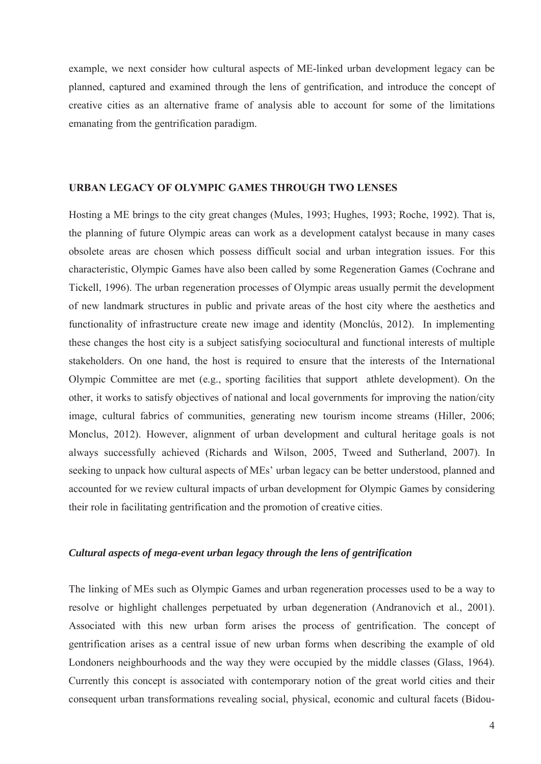example, we next consider how cultural aspects of ME-linked urban development legacy can be planned, captured and examined through the lens of gentrification, and introduce the concept of creative cities as an alternative frame of analysis able to account for some of the limitations emanating from the gentrification paradigm.

#### **URBAN LEGACY OF OLYMPIC GAMES THROUGH TWO LENSES**

 Hosting a ME brings to the city great changes (Mules, 1993; Hughes, 1993; Roche, 1992). That is, the planning of future Olympic areas can work as a development catalyst because in many cases obsolete areas are chosen which possess difficult social and urban integration issues. For this characteristic, Olympic Games have also been called by some Regeneration Games (Cochrane and Tickell, 1996). The urban regeneration processes of Olympic areas usually permit the development of new landmark structures in public and private areas of the host city where the aesthetics and functionality of infrastructure create new image and identity (Monclús, 2012). In implementing these changes the host city is a subject satisfying sociocultural and functional interests of multiple stakeholders. On one hand, the host is required to ensure that the interests of the International Olympic Committee are met (e.g., sporting facilities that support athlete development). On the other, it works to satisfy objectives of national and local governments for improving the nation/city image, cultural fabrics of communities, generating new tourism income streams (Hiller, 2006; Monclus, 2012). However, alignment of urban development and cultural heritage goals is not always successfully achieved (Richards and Wilson, 2005, Tweed and Sutherland, 2007). In seeking to unpack how cultural aspects of MEs' urban legacy can be better understood, planned and accounted for we review cultural impacts of urban development for Olympic Games by considering their role in facilitating gentrification and the promotion of creative cities.

#### *Cultural aspects of mega-event urban legacy through the lens of gentrification*

 The linking of MEs such as Olympic Games and urban regeneration processes used to be a way to resolve or highlight challenges perpetuated by urban degeneration (Andranovich et al., 2001). Associated with this new urban form arises the process of gentrification. The concept of gentrification arises as a central issue of new urban forms when describing the example of old Londoners neighbourhoods and the way they were occupied by the middle classes (Glass, 1964). Currently this concept is associated with contemporary notion of the great world cities and their consequent urban transformations revealing social, physical, economic and cultural facets (Bidou-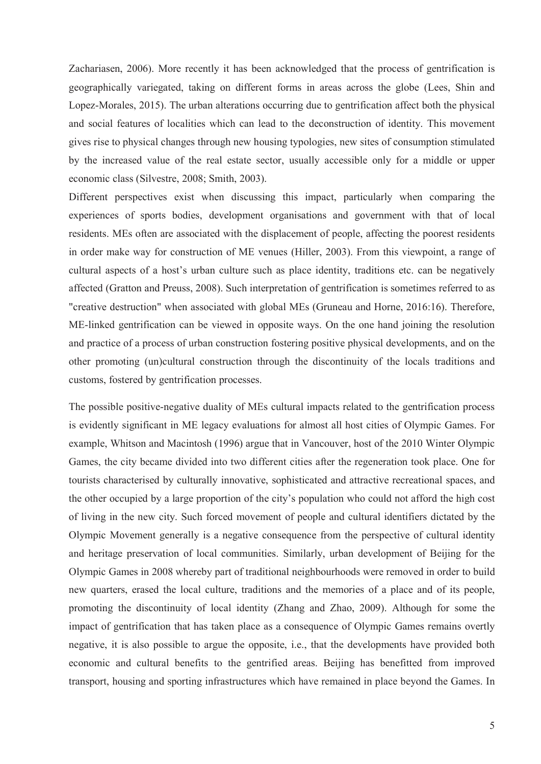Zachariasen, 2006). More recently it has been acknowledged that the process of gentrification is geographically variegated, taking on different forms in areas across the globe (Lees, Shin and Lopez-Morales, 2015). The urban alterations occurring due to gentrification affect both the physical and social features of localities which can lead to the deconstruction of identity. This movement gives rise to physical changes through new housing typologies, new sites of consumption stimulated by the increased value of the real estate sector, usually accessible only for a middle or upper economic class (Silvestre, 2008; Smith, 2003).

 Different perspectives exist when discussing this impact, particularly when comparing the experiences of sports bodies, development organisations and government with that of local residents. MEs often are associated with the displacement of people, affecting the poorest residents in order make way for construction of ME venues (Hiller, 2003). From this viewpoint, a range of cultural aspects of a host's urban culture such as place identity, traditions etc. can be negatively affected (Gratton and Preuss, 2008). Such interpretation of gentrification is sometimes referred to as "creative destruction" when associated with global MEs (Gruneau and Horne, 2016:16). Therefore, ME-linked gentrification can be viewed in opposite ways. On the one hand joining the resolution and practice of a process of urban construction fostering positive physical developments, and on the other promoting (un)cultural construction through the discontinuity of the locals traditions and customs, fostered by gentrification processes.

 The possible positive-negative duality of MEs cultural impacts related to the gentrification process is evidently significant in ME legacy evaluations for almost all host cities of Olympic Games. For example, Whitson and Macintosh (1996) argue that in Vancouver, host of the 2010 Winter Olympic Games, the city became divided into two different cities after the regeneration took place. One for tourists characterised by culturally innovative, sophisticated and attractive recreational spaces, and the other occupied by a large proportion of the city's population who could not afford the high cost of living in the new city. Such forced movement of people and cultural identifiers dictated by the Olympic Movement generally is a negative consequence from the perspective of cultural identity and heritage preservation of local communities. Similarly, urban development of Beijing for the Olympic Games in 2008 whereby part of traditional neighbourhoods were removed in order to build new quarters, erased the local culture, traditions and the memories of a place and of its people, promoting the discontinuity of local identity (Zhang and Zhao, 2009). Although for some the impact of gentrification that has taken place as a consequence of Olympic Games remains overtly negative, it is also possible to argue the opposite, i.e., that the developments have provided both economic and cultural benefits to the gentrified areas. Beijing has benefitted from improved transport, housing and sporting infrastructures which have remained in place beyond the Games. In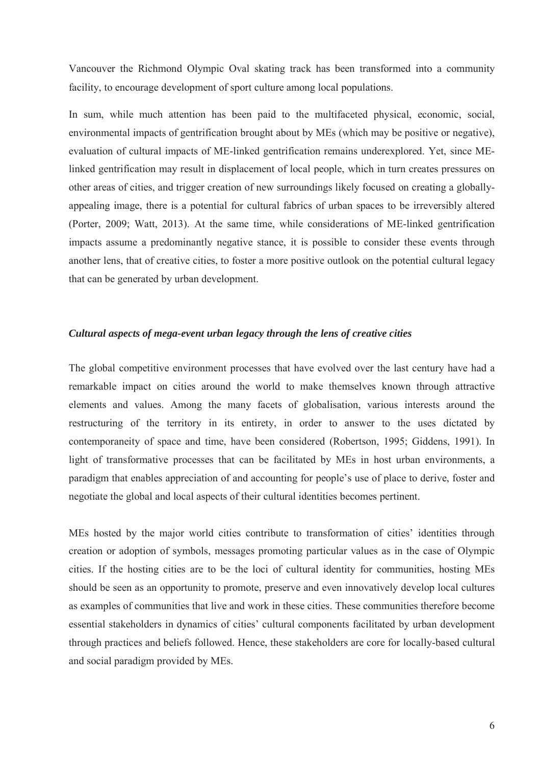Vancouver the Richmond Olympic Oval skating track has been transformed into a community facility, to encourage development of sport culture among local populations.

 In sum, while much attention has been paid to the multifaceted physical, economic, social, environmental impacts of gentrification brought about by MEs (which may be positive or negative), evaluation of cultural impacts of ME-linked gentrification remains underexplored. Yet, since ME- linked gentrification may result in displacement of local people, which in turn creates pressures on other areas of cities, and trigger creation of new surroundings likely focused on creating a globally- appealing image, there is a potential for cultural fabrics of urban spaces to be irreversibly altered (Porter, 2009; Watt, 2013). At the same time, while considerations of ME-linked gentrification impacts assume a predominantly negative stance, it is possible to consider these events through another lens, that of creative cities, to foster a more positive outlook on the potential cultural legacy that can be generated by urban development.

#### *Cultural aspects of mega-event urban legacy through the lens of creative cities*

 The global competitive environment processes that have evolved over the last century have had a remarkable impact on cities around the world to make themselves known through attractive elements and values. Among the many facets of globalisation, various interests around the restructuring of the territory in its entirety, in order to answer to the uses dictated by contemporaneity of space and time, have been considered (Robertson, 1995; Giddens, 1991). In light of transformative processes that can be facilitated by MEs in host urban environments, a paradigm that enables appreciation of and accounting for people's use of place to derive, foster and negotiate the global and local aspects of their cultural identities becomes pertinent.

 MEs hosted by the major world cities contribute to transformation of cities' identities through creation or adoption of symbols, messages promoting particular values as in the case of Olympic cities. If the hosting cities are to be the loci of cultural identity for communities, hosting MEs should be seen as an opportunity to promote, preserve and even innovatively develop local cultures as examples of communities that live and work in these cities. These communities therefore become essential stakeholders in dynamics of cities' cultural components facilitated by urban development through practices and beliefs followed. Hence, these stakeholders are core for locally-based cultural and social paradigm provided by MEs.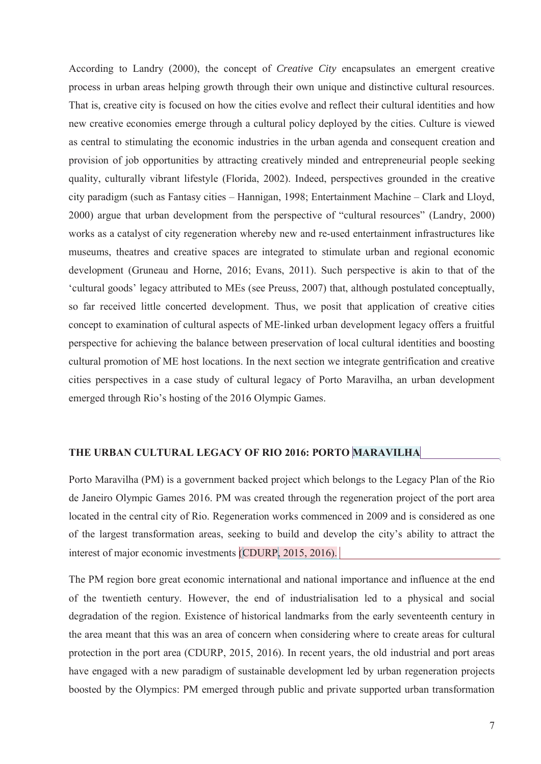According to Landry (2000), the concept of *Creative City* encapsulates an emergent creative process in urban areas helping growth through their own unique and distinctive cultural resources. That is, creative city is focused on how the cities evolve and reflect their cultural identities and how new creative economies emerge through a cultural policy deployed by the cities. Culture is viewed as central to stimulating the economic industries in the urban agenda and consequent creation and provision of job opportunities by attracting creatively minded and entrepreneurial people seeking quality, culturally vibrant lifestyle (Florida, 2002). Indeed, perspectives grounded in the creative city paradigm (such as Fantasy cities – Hannigan, 1998; Entertainment Machine – Clark and Lloyd, 2000) argue that urban development from the perspective of "cultural resources" (Landry, 2000) works as a catalyst of city regeneration whereby new and re-used entertainment infrastructures like museums, theatres and creative spaces are integrated to stimulate urban and regional economic development (Gruneau and Horne, 2016; Evans, 2011). Such perspective is akin to that of the 'cultural goods' legacy attributed to MEs (see Preuss, 2007) that, although postulated conceptually, so far received little concerted development. Thus, we posit that application of creative cities concept to examination of cultural aspects of ME-linked urban development legacy offers a fruitful perspective for achieving the balance between preservation of local cultural identities and boosting cultural promotion of ME host locations. In the next section we integrate gentrification and creative cities perspectives in a case study of cultural legacy of Porto Maravilha, an urban development emerged through Rio's hosting of the 2016 Olympic Games.

### **THE URBAN CULTURAL LEGACY OF RIO 2016: PORTO MARAVILHA**

 Porto Maravilha (PM) is a government backed project which belongs to the Legacy Plan of the Rio de Janeiro Olympic Games 2016. PM was created through the regeneration project of the port area located in the central city of Rio. Regeneration works commenced in 2009 and is considered as one of the largest transformation areas, seeking to build and develop the city's ability to attract the interest of major economic investments (CDURP, 2015, 2016).

 The PM region bore great economic international and national importance and influence at the end of the twentieth century. However, the end of industrialisation led to a physical and social degradation of the region. Existence of historical landmarks from the early seventeenth century in the area meant that this was an area of concern when considering where to create areas for cultural protection in the port area (CDURP, 2015, 2016). In recent years, the old industrial and port areas have engaged with a new paradigm of sustainable development led by urban regeneration projects boosted by the Olympics: PM emerged through public and private supported urban transformation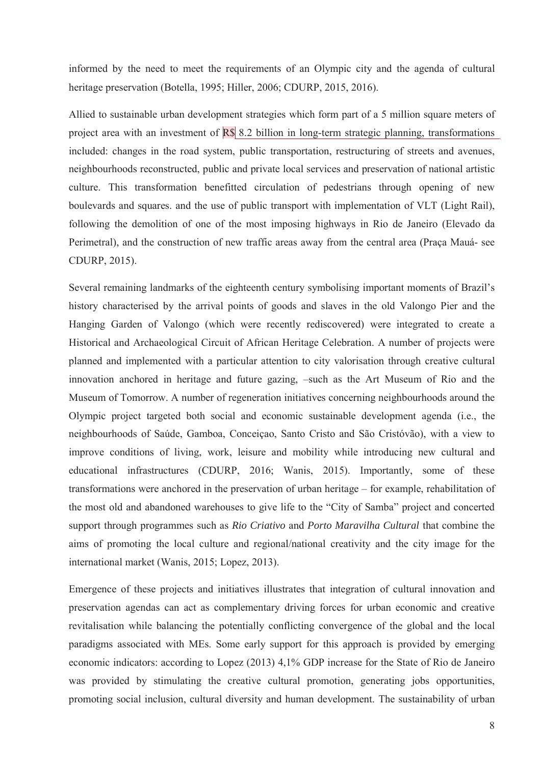informed by the need to meet the requirements of an Olympic city and the agenda of cultural heritage preservation (Botella, 1995; Hiller, 2006; CDURP, 2015, 2016).

 Allied to sustainable urban development strategies which form part of a 5 million square meters of project area with an investment of R\$ 8.2 billion in long-term strategic planning, transformations included: changes in the road system, public transportation, restructuring of streets and avenues, neighbourhoods reconstructed, public and private local services and preservation of national artistic culture. This transformation benefitted circulation of pedestrians through opening of new boulevards and squares. and the use of public transport with implementation of VLT (Light Rail), following the demolition of one of the most imposing highways in Rio de Janeiro (Elevado da Perimetral), and the construction of new traffic areas away from the central area (Praça Mauá- see CDURP, 2015).

 Several remaining landmarks of the eighteenth century symbolising important moments of Brazil's history characterised by the arrival points of goods and slaves in the old Valongo Pier and the Hanging Garden of Valongo (which were recently rediscovered) were integrated to create a Historical and Archaeological Circuit of African Heritage Celebration. A number of projects were planned and implemented with a particular attention to city valorisation through creative cultural innovation anchored in heritage and future gazing, –such as the Art Museum of Rio and the Museum of Tomorrow. A number of regeneration initiatives concerning neighbourhoods around the Olympic project targeted both social and economic sustainable development agenda (i.e., the neighbourhoods of Saúde, Gamboa, Conceiçao, Santo Cristo and São Cristóvão), with a view to improve conditions of living, work, leisure and mobility while introducing new cultural and educational infrastructures (CDURP, 2016; Wanis, 2015). Importantly, some of these transformations were anchored in the preservation of urban heritage – for example, rehabilitation of the most old and abandoned warehouses to give life to the "City of Samba" project and concerted support through programmes such as *Rio Criativo* and *Porto Maravilha Cultural* that combine the aims of promoting the local culture and regional/national creativity and the city image for the international market (Wanis, 2015; Lopez, 2013).

 Emergence of these projects and initiatives illustrates that integration of cultural innovation and preservation agendas can act as complementary driving forces for urban economic and creative revitalisation while balancing the potentially conflicting convergence of the global and the local paradigms associated with MEs. Some early support for this approach is provided by emerging economic indicators: according to Lopez (2013) 4,1% GDP increase for the State of Rio de Janeiro was provided by stimulating the creative cultural promotion, generating jobs opportunities, promoting social inclusion, cultural diversity and human development. The sustainability of urban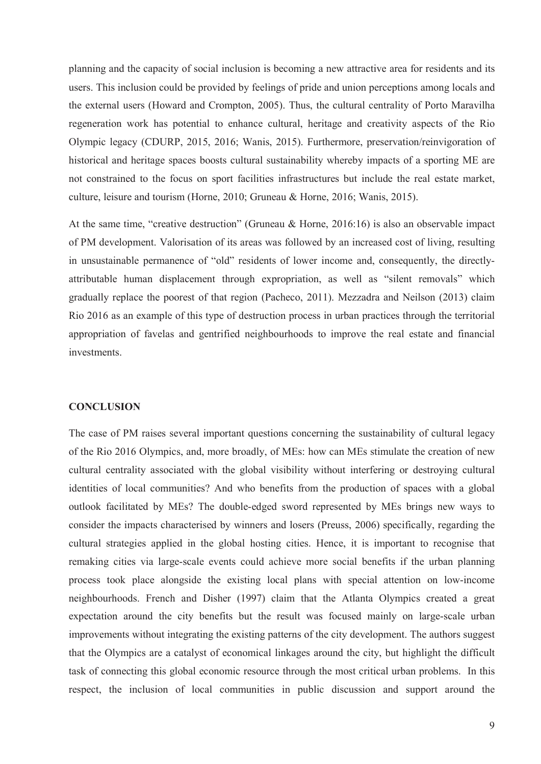planning and the capacity of social inclusion is becoming a new attractive area for residents and its users. This inclusion could be provided by feelings of pride and union perceptions among locals and the external users (Howard and Crompton, 2005). Thus, the cultural centrality of Porto Maravilha regeneration work has potential to enhance cultural, heritage and creativity aspects of the Rio Olympic legacy (CDURP, 2015, 2016; Wanis, 2015). Furthermore, preservation/reinvigoration of historical and heritage spaces boosts cultural sustainability whereby impacts of a sporting ME are not constrained to the focus on sport facilities infrastructures but include the real estate market, culture, leisure and tourism (Horne, 2010; Gruneau & Horne, 2016; Wanis, 2015).

 At the same time, "creative destruction" (Gruneau & Horne, 2016:16) is also an observable impact of PM development. Valorisation of its areas was followed by an increased cost of living, resulting in unsustainable permanence of "old" residents of lower income and, consequently, the directly- attributable human displacement through expropriation, as well as "silent removals" which gradually replace the poorest of that region (Pacheco, 2011). Mezzadra and Neilson (2013) claim Rio 2016 as an example of this type of destruction process in urban practices through the territorial appropriation of favelas and gentrified neighbourhoods to improve the real estate and financial investments.

#### **CONCLUSION**

 The case of PM raises several important questions concerning the sustainability of cultural legacy of the Rio 2016 Olympics, and, more broadly, of MEs: how can MEs stimulate the creation of new cultural centrality associated with the global visibility without interfering or destroying cultural identities of local communities? And who benefits from the production of spaces with a global outlook facilitated by MEs? The double-edged sword represented by MEs brings new ways to consider the impacts characterised by winners and losers (Preuss, 2006) specifically, regarding the cultural strategies applied in the global hosting cities. Hence, it is important to recognise that remaking cities via large-scale events could achieve more social benefits if the urban planning process took place alongside the existing local plans with special attention on low-income neighbourhoods. French and Disher (1997) claim that the Atlanta Olympics created a great expectation around the city benefits but the result was focused mainly on large-scale urban improvements without integrating the existing patterns of the city development. The authors suggest that the Olympics are a catalyst of economical linkages around the city, but highlight the difficult task of connecting this global economic resource through the most critical urban problems. In this respect, the inclusion of local communities in public discussion and support around the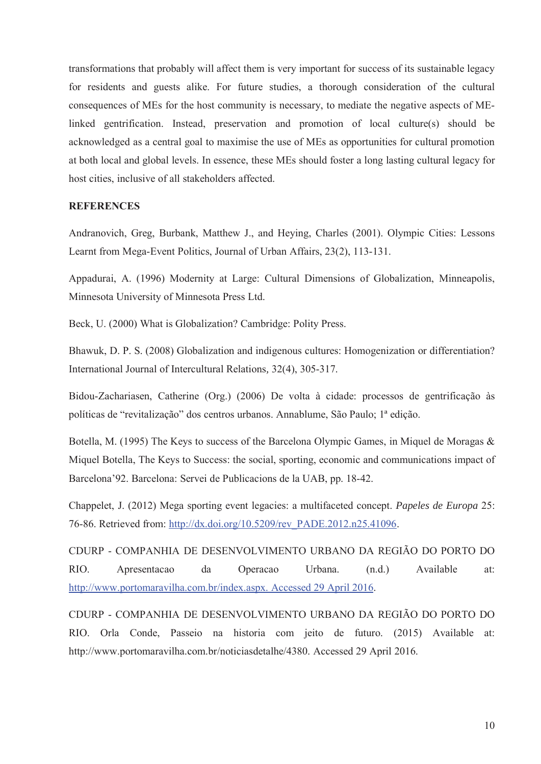transformations that probably will affect them is very important for success of its sustainable legacy for residents and guests alike. For future studies, a thorough consideration of the cultural consequences of MEs for the host community is necessary, to mediate the negative aspects of ME- linked gentrification. Instead, preservation and promotion of local culture(s) should be acknowledged as a central goal to maximise the use of MEs as opportunities for cultural promotion at both local and global levels. In essence, these MEs should foster a long lasting cultural legacy for host cities, inclusive of all stakeholders affected.

#### **REFERENCES**

 Andranovich, Greg, Burbank, Matthew J., and Heying, Charles (2001). Olympic Cities: Lessons Learnt from Mega-Event Politics, Journal of Urban Affairs, 23(2), 113-131.

 Appadurai, A. (1996) Modernity at Large: Cultural Dimensions of Globalization, Minneapolis, Minnesota University of Minnesota Press Ltd.

Beck, U. (2000) What is Globalization? Cambridge: Polity Press.

 International Journal of Intercultural Relations*,* 32(4), 305-317. Bhawuk, D. P. S. (2008) Globalization and indigenous cultures: Homogenization or differentiation?

 Bidou-Zachariasen, Catherine (Org.) (2006) De volta à cidade: processos de gentrificação às políticas de "revitalização" dos centros urbanos. Annablume, São Paulo; 1ª edição.

 Botella, M. (1995) The Keys to success of the Barcelona Olympic Games, in Miquel de Moragas & Miquel Botella, The Keys to Success: the social, sporting, economic and communications impact of Barcelona'92. Barcelona: Servei de Publicacions de la UAB, pp. 18-42.

 Chappelet, J. (2012) Mega sporting event legacies: a multifaceted concept. *Papeles de Europa* 25: 76-86. Retrieved from: http://dx.doi.org/10.5209/rev\_PADE.2012.n25.41096.

 CDURP - COMPANHIA DE DESENVOLVIMENTO URBANO DA REGIÃO DO PORTO DO RIO. Apresentacao da Operacao Urbana. (n.d.) Available at: http://www.portomaravilha.com.br/index.aspx. Accessed 29 April 2016.

 CDURP - COMPANHIA DE DESENVOLVIMENTO URBANO DA REGIÃO DO PORTO DO RIO. Orla Conde, Passeio na historia com jeito de futuro. (2015) Available at: http://www.portomaravilha.com.br/noticiasdetalhe/4380. Accessed 29 April 2016.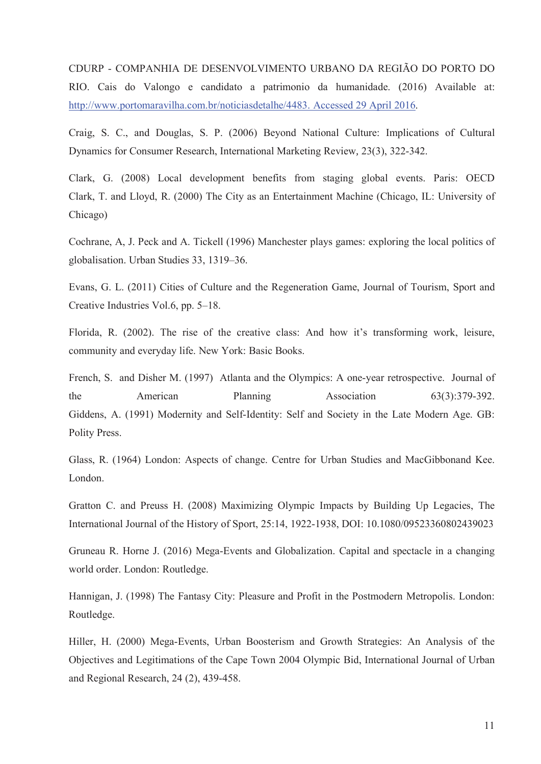CDURP - COMPANHIA DE DESENVOLVIMENTO URBANO DA REGIÃO DO PORTO DO RIO. Cais do Valongo e candidato a patrimonio da humanidade. (2016) Available at: http://www.portomaravilha.com.br/noticiasdetalhe/4483. Accessed 29 April 2016.

 Craig, S. C., and Douglas, S. P. (2006) Beyond National Culture: Implications of Cultural Dynamics for Consumer Research, International Marketing Review*,* 23(3), 322-342.

 Clark, G. (2008) Local development benefits from staging global events. Paris: OECD Clark, T. and Lloyd, R. (2000) The City as an Entertainment Machine (Chicago, IL: University of Chicago)

 Cochrane, A, J. Peck and A. Tickell (1996) Manchester plays games: exploring the local politics of globalisation. Urban Studies 33, 1319–36.

 Evans, G. L. (2011) Cities of Culture and the Regeneration Game, Journal of Tourism, Sport and Creative Industries Vol.6, pp. 5–18.

 Florida, R. (2002). The rise of the creative class: And how it's transforming work, leisure, community and everyday life. New York: Basic Books.

 French, S. and Disher M. (1997) Atlanta and the Olympics: A one-year retrospective. Journal of Giddens, A. (1991) Modernity and Self-Identity: Self and Society in the Late Modern Age. GB: the American Planning Association 63(3):379-392. Polity Press.

 Glass, R. (1964) London: Aspects of change. Centre for Urban Studies and MacGibbonand Kee. London.

 Gratton C. and Preuss H. (2008) Maximizing Olympic Impacts by Building Up Legacies, The International Journal of the History of Sport, 25:14, 1922-1938, DOI: 10.1080/09523360802439023

 Gruneau R. Horne J. (2016) Mega-Events and Globalization. Capital and spectacle in a changing world order. London: Routledge.

 Hannigan, J. (1998) The Fantasy City: Pleasure and Profit in the Postmodern Metropolis. London: Routledge.

 Hiller, H. (2000) Mega-Events, Urban Boosterism and Growth Strategies: An Analysis of the Objectives and Legitimations of the Cape Town 2004 Olympic Bid, International Journal of Urban and Regional Research, 24 (2), 439-458.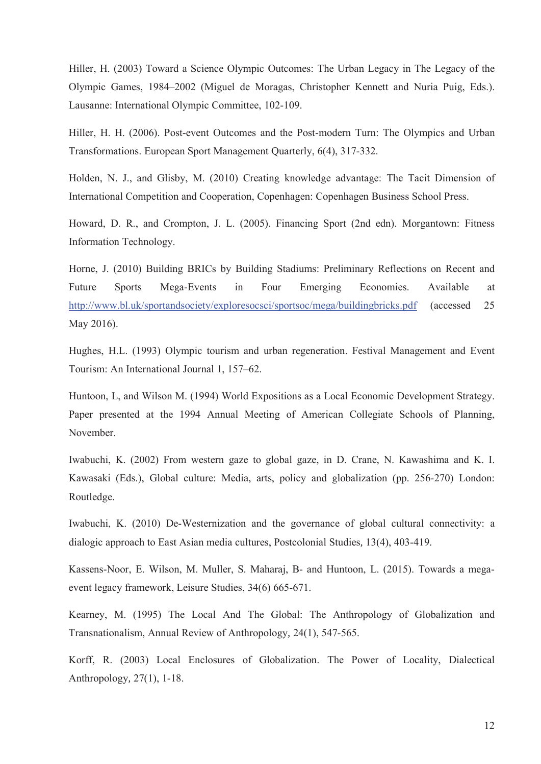Hiller, H. (2003) Toward a Science Olympic Outcomes: The Urban Legacy in The Legacy of the Olympic Games, 1984–2002 (Miguel de Moragas, Christopher Kennett and Nuria Puig, Eds.). Lausanne: International Olympic Committee, 102-109.

 Hiller, H. H. (2006). Post-event Outcomes and the Post-modern Turn: The Olympics and Urban Transformations. European Sport Management Quarterly, 6(4), 317-332.

 Holden, N. J., and Glisby, M. (2010) Creating knowledge advantage: The Tacit Dimension of International Competition and Cooperation, Copenhagen: Copenhagen Business School Press.

 Howard, D. R., and Crompton, J. L. (2005). Financing Sport (2nd edn). Morgantown: Fitness Information Technology.

 Horne, J. (2010) Building BRICs by Building Stadiums: Preliminary Reflections on Recent and  $in$ Future Sports Mega-Events in Four Emerging Economies. Available at http://www.bl.uk/sportandsociety/exploresocsci/sportsoc/mega/buildingbricks.pdf (accessed 25 May 2016).

 Hughes, H.L. (1993) Olympic tourism and urban regeneration. Festival Management and Event Tourism: An International Journal 1, 157–62.

 Huntoon, L, and Wilson M. (1994) World Expositions as a Local Economic Development Strategy. Paper presented at the 1994 Annual Meeting of American Collegiate Schools of Planning, November.

 Iwabuchi, K. (2002) From western gaze to global gaze, in D. Crane, N. Kawashima and K. I. Kawasaki (Eds.), Global culture: Media, arts, policy and globalization (pp. 256-270) London: Routledge.

 Iwabuchi, K. (2010) De-Westernization and the governance of global cultural connectivity: a dialogic approach to East Asian media cultures, Postcolonial Studies*,* 13(4), 403-419.

 Kassens-Noor, E. Wilson, M. Muller, S. Maharaj, B- and Huntoon, L. (2015). Towards a mega-event legacy framework, Leisure Studies, 34(6) 665-671.

 Kearney, M. (1995) The Local And The Global: The Anthropology of Globalization and Transnationalism, Annual Review of Anthropology*,* 24(1), 547-565.

 Korff, R. (2003) Local Enclosures of Globalization. The Power of Locality, Dialectical Anthropology*,* 27(1), 1-18.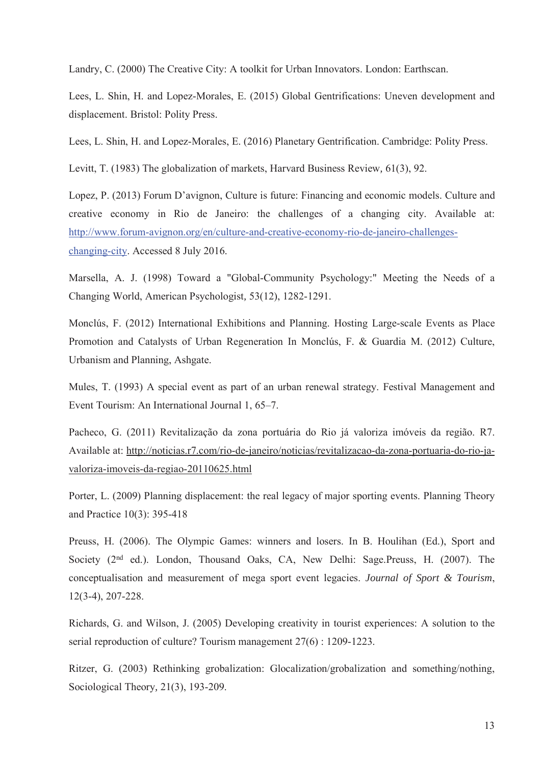Landry, C. (2000) The Creative City: A toolkit for Urban Innovators. London: Earthscan.

 Lees, L. Shin, H. and Lopez-Morales, E. (2015) Global Gentrifications: Uneven development and displacement. Bristol: Polity Press.

Lees, L. Shin, H. and Lopez-Morales, E. (2016) Planetary Gentrification. Cambridge: Polity Press.

Levitt, T. (1983) The globalization of markets, Harvard Business Review*,* 61(3), 92.

 Lopez, P. (2013) Forum D'avignon, Culture is future: Financing and economic models. Culture and creative economy in Rio de Janeiro: the challenges of a changing city. Available at: http://www.forum-avignon.org/en/culture-and-creative-economy-rio-de-janeiro-challengeschanging-city. Accessed 8 July 2016.

 Marsella, A. J. (1998) Toward a "Global-Community Psychology:" Meeting the Needs of a Changing World, American Psychologist*,* 53(12), 1282-1291.

 Monclús, F. (2012) International Exhibitions and Planning. Hosting Large-scale Events as Place Promotion and Catalysts of Urban Regeneration In Monclús, F. & Guardia M. (2012) Culture, Urbanism and Planning, Ashgate.

 Mules, T. (1993) A special event as part of an urban renewal strategy. Festival Management and Event Tourism: An International Journal 1, 65–7.

 Pacheco, G. (2011) Revitalização da zona portuária do Rio já valoriza imóveis da região. R7. Available at: http://noticias.r7.com/rio-de-janeiro/noticias/revitalizacao-da-zona-portuaria-do-rio-javaloriza-imoveis-da-regiao-20110625.html

 Porter, L. (2009) Planning displacement: the real legacy of major sporting events. Planning Theory and Practice 10(3): 395-418

 Preuss, H. (2006). The Olympic Games: winners and losers. In B. Houlihan (Ed.), Sport and Society (2<sup>nd</sup> ed.). London, Thousand Oaks, CA, New Delhi: Sage.Preuss, H. (2007). The  conceptualisation and measurement of mega sport event legacies. *Journal of Sport & Tourism*, 12(3-4), 207-228.

 Richards, G. and Wilson, J. (2005) Developing creativity in tourist experiences: A solution to the serial reproduction of culture? Tourism management  $27(6)$ : 1209-1223.

 Ritzer, G. (2003) Rethinking grobalization: Glocalization/grobalization and something/nothing, Sociological Theory*,* 21(3), 193-209.